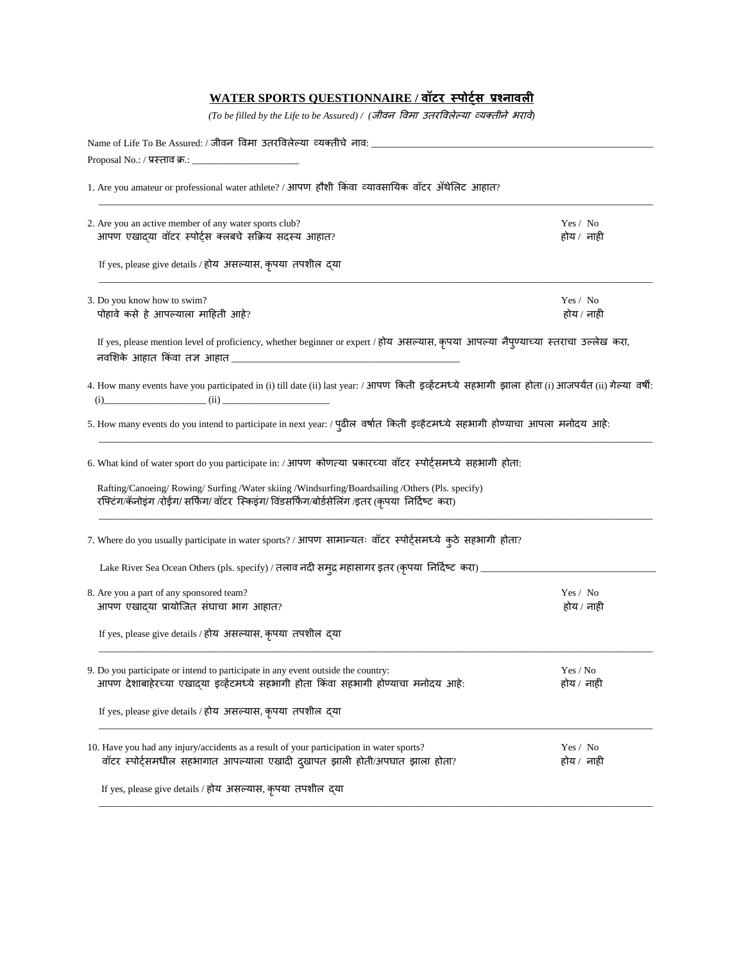## **WATER SPORTS QUESTIONNAIRE / वॉटर स्पोर्ट्स प्रश्नावली**

*(To be filled by the Life to be Assured) / (*जीवन ववमा उतरववलेल्या व्यक्तीने भरावे*)*

| Name of Life To Be Assured: / जीवन विमा उतरविलेल्या व्यक्तीचे नाव: ______________                                                                                                                |                        |  |  |  |
|--------------------------------------------------------------------------------------------------------------------------------------------------------------------------------------------------|------------------------|--|--|--|
|                                                                                                                                                                                                  |                        |  |  |  |
| 1. Are you amateur or professional water athlete? / आपण हौशी किंवा व्यावसायिक वॉटर ॲथेलिट आहात?                                                                                                  |                        |  |  |  |
| 2. Are you an active member of any water sports club?<br>आपण एखाद्या वॉटर स्पोर्ट्स क्लबचे सक्रिय सदस्य आहात?                                                                                    | Yes / No<br>होय / नाही |  |  |  |
| If yes, please give details / होय असल्यास, कृपया तपशील द्या                                                                                                                                      |                        |  |  |  |
| 3. Do you know how to swim?<br>पोहावे कसे हे आपल्याला माहिती आहे?                                                                                                                                | Yes / No<br>होय / नाही |  |  |  |
| If yes, please mention level of proficiency, whether beginner or expert / होय असल्यास, कृपया आपल्या नैपुण्याच्या स्तराचा उल्लेख करा,                                                             |                        |  |  |  |
| 4. How many events have you participated in (i) till date (ii) last year: / आपण किती इव्हेंटमध्ये सहभागी झाला होता (i) आजपर्यंत (ii) गेल्या वर्षी:<br>$(ii)$ (i)                                 |                        |  |  |  |
| 5. How many events do you intend to participate in next year: / पुढील वर्षात किती इव्हेंटमध्ये सहभागी होण्याचा आपला मनोदय आहे:                                                                   |                        |  |  |  |
| 6. What kind of water sport do you participate in: / आपण कोणत्या प्रकारच्या वॉटर स्पोर्ट्समध्ये सहभागी होता:                                                                                     |                        |  |  |  |
| Rafting/Canoeing/Rowing/Surfing/Water skiing/Windsurfing/Boardsailing/Others (Pls. specify)<br>रफ्टिंग/कॅनोइंग /रोईंग/ सर्फिंग/ वॉटर स्किइंग/ विंडसर्फिंग/बोर्डसेलिंग /इतर (कृपया निर्दिष्ट करा) |                        |  |  |  |
| 7. Where do you usually participate in water sports? / आपण सामान्यतः वॉटर स्पोर्ट्समध्ये कुठे सहभागी होता?                                                                                       |                        |  |  |  |
|                                                                                                                                                                                                  |                        |  |  |  |
| 8. Are you a part of any sponsored team?<br>आपण एखाद्या प्रायोजित संघाचा भाग आहात?                                                                                                               | Yes / No<br>होय / नाही |  |  |  |
| If yes, please give details / होय असल्यास, कृपया तपशील द्या                                                                                                                                      |                        |  |  |  |
| 9. Do you participate or intend to participate in any event outside the country:<br>आपण देशाबाहेरच्या एखादया इव्हेंटमध्ये सहभागी होता किंवा सहभागी होण्याचा मनोदय आहे:                           | Yes / No<br>होय / नाही |  |  |  |
| If yes, please give details / होय असल्यास, कृपया तपशील द्या                                                                                                                                      |                        |  |  |  |
| 10. Have you had any injury/accidents as a result of your participation in water sports?<br>वॉटर स्पोर्ट्समधील सहभागात आपल्याला एखादी दुखापत झाली होती/अपघात झाला होता?                          | Yes / No<br>होय / नाही |  |  |  |
| If yes, please give details / होय असल्यास, कृपया तपशील द्या                                                                                                                                      |                        |  |  |  |